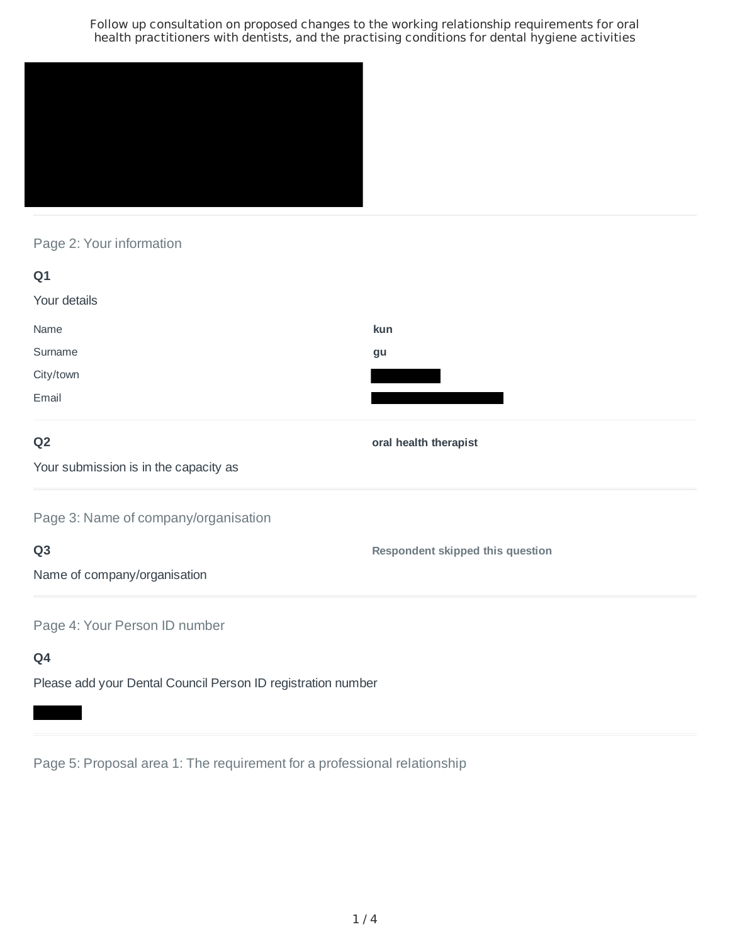

# Page 2: Your information

| Q1                                    |                       |
|---------------------------------------|-----------------------|
| Your details                          |                       |
| Name                                  | kun                   |
| Surname                               | gu                    |
| City/town                             |                       |
| Email                                 |                       |
| Q <sub>2</sub>                        | oral health therapist |
| Your submission is in the capacity as |                       |
| Page 3: Name of company/organisation  |                       |

# **Q3**

**Respondent skipped this question**

Name of company/organisation

Page 4: Your Person ID number

# **Q4**

Please add your Dental Council Person ID registration number

Page 5: Proposal area 1: The requirement for a professional relationship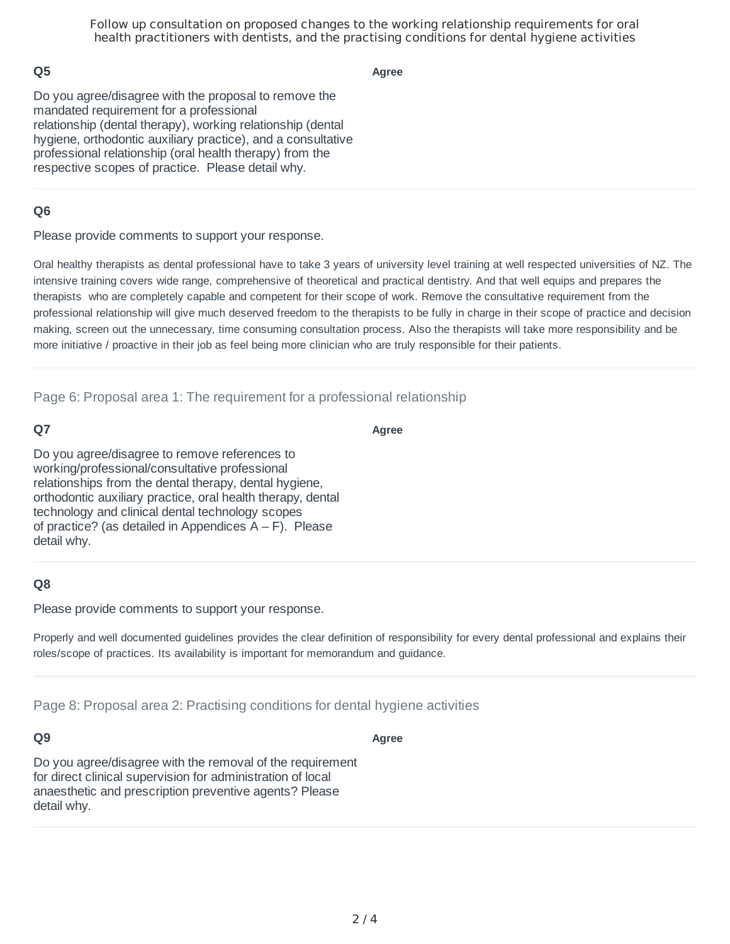## **Q5**

**Agree**

Do you agree/disagree with the proposal to remove the mandated requirement for a professional relationship (dental therapy), working relationship (dental hygiene, orthodontic auxiliary practice), and a consultative professional relationship (oral health therapy) from the respective scopes of practice. Please detail why.

## **Q6**

Please provide comments to support your response.

Oral healthy therapists as dental professional have to take 3 years of university level training at well respected universities of NZ. The intensive training covers wide range, comprehensive of theoretical and practical dentistry. And that well equips and prepares the therapists who are completely capable and competent for their scope of work. Remove the consultative requirement from the professional relationship will give much deserved freedom to the therapists to be fully in charge in their scope of practice and decision making, screen out the unnecessary, time consuming consultation process. Also the therapists will take more responsibility and be more initiative / proactive in their job as feel being more clinician who are truly responsible for their patients.

Page 6: Proposal area 1: The requirement for a professional relationship

### **Q7**

**Agree**

Do you agree/disagree to remove references to working/professional/consultative professional relationships from the dental therapy, dental hygiene, orthodontic auxiliary practice, oral health therapy, dental technology and clinical dental technology scopes of practice? (as detailed in Appendices  $A - F$ ). Please detail why.

### **Q8**

Please provide comments to support your response.

Properly and well documented guidelines provides the clear definition of responsibility for every dental professional and explains their roles/scope of practices. Its availability is important for memorandum and guidance.

Page 8: Proposal area 2: Practising conditions for dental hygiene activities

#### **Q9**

**Agree**

Do you agree/disagree with the removal of the requirement for direct clinical supervision for administration of local anaesthetic and prescription preventive agents? Please detail why.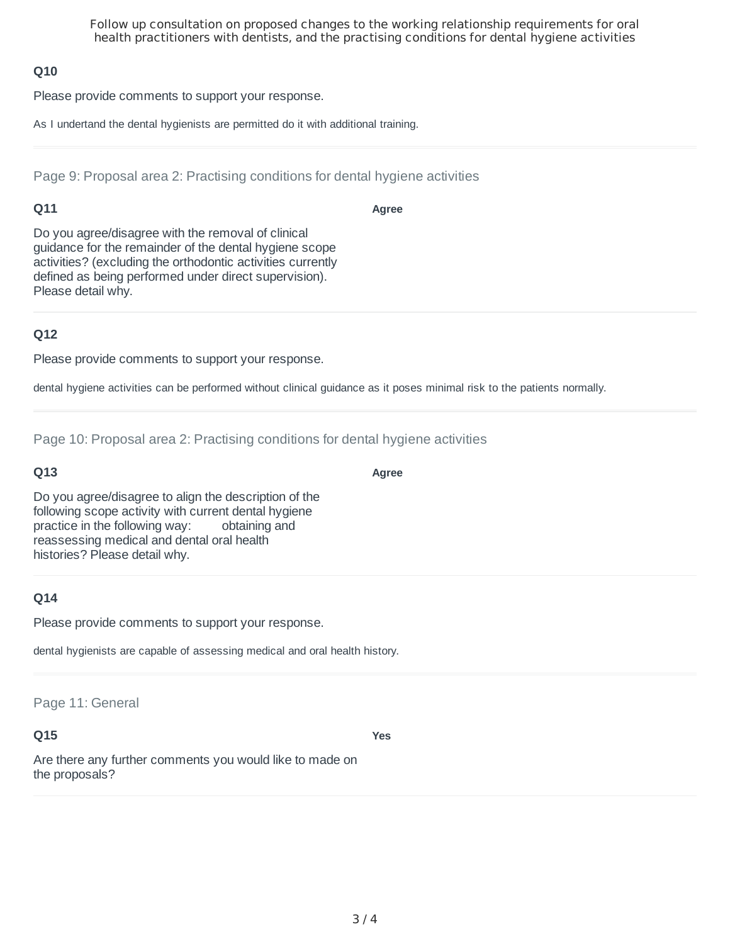# **Q10**

Please provide comments to support your response.

As I undertand the dental hygienists are permitted do it with additional training.

Page 9: Proposal area 2: Practising conditions for dental hygiene activities

## **Q11**

**Agree**

**Agree**

Do you agree/disagree with the removal of clinical guidance for the remainder of the dental hygiene scope activities? (excluding the orthodontic activities currently defined as being performed under direct supervision). Please detail why.

# **Q12**

Please provide comments to support your response.

dental hygiene activities can be performed without clinical guidance as it poses minimal risk to the patients normally.

Page 10: Proposal area 2: Practising conditions for dental hygiene activities

### **Q13**

Do you agree/disagree to align the description of the following scope activity with current dental hygiene practice in the following way: obtaining and reassessing medical and dental oral health histories? Please detail why.

# **Q14**

Please provide comments to support your response.

dental hygienists are capable of assessing medical and oral health history.

#### Page 11: General

# **Q15**

**Yes**

Are there any further comments you would like to made on the proposals?